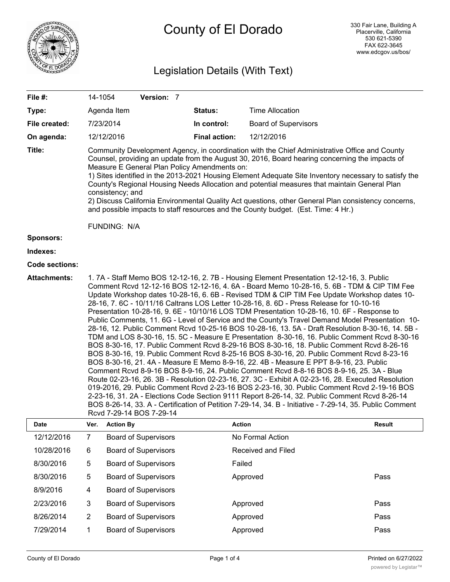

# County of El Dorado

## Legislation Details (With Text)

| File #:               | 14-1054                                                                                                                                                                                                                                                                                                                                                                                                                                                                                                                                                                                                                                                                                                                                                                                                                                                                                                                                                                                                                                                                                                                                                                                                                                                                                                                                                                                                                                                                                                                                                                                                                | Version: 7                  |                      |                             |        |
|-----------------------|------------------------------------------------------------------------------------------------------------------------------------------------------------------------------------------------------------------------------------------------------------------------------------------------------------------------------------------------------------------------------------------------------------------------------------------------------------------------------------------------------------------------------------------------------------------------------------------------------------------------------------------------------------------------------------------------------------------------------------------------------------------------------------------------------------------------------------------------------------------------------------------------------------------------------------------------------------------------------------------------------------------------------------------------------------------------------------------------------------------------------------------------------------------------------------------------------------------------------------------------------------------------------------------------------------------------------------------------------------------------------------------------------------------------------------------------------------------------------------------------------------------------------------------------------------------------------------------------------------------------|-----------------------------|----------------------|-----------------------------|--------|
| Type:                 | Agenda Item                                                                                                                                                                                                                                                                                                                                                                                                                                                                                                                                                                                                                                                                                                                                                                                                                                                                                                                                                                                                                                                                                                                                                                                                                                                                                                                                                                                                                                                                                                                                                                                                            |                             | Status:              | <b>Time Allocation</b>      |        |
| File created:         | 7/23/2014                                                                                                                                                                                                                                                                                                                                                                                                                                                                                                                                                                                                                                                                                                                                                                                                                                                                                                                                                                                                                                                                                                                                                                                                                                                                                                                                                                                                                                                                                                                                                                                                              |                             | In control:          | <b>Board of Supervisors</b> |        |
| On agenda:            | 12/12/2016                                                                                                                                                                                                                                                                                                                                                                                                                                                                                                                                                                                                                                                                                                                                                                                                                                                                                                                                                                                                                                                                                                                                                                                                                                                                                                                                                                                                                                                                                                                                                                                                             |                             | <b>Final action:</b> | 12/12/2016                  |        |
| Title:                | Community Development Agency, in coordination with the Chief Administrative Office and County<br>Counsel, providing an update from the August 30, 2016, Board hearing concerning the impacts of<br>Measure E General Plan Policy Amendments on:<br>1) Sites identified in the 2013-2021 Housing Element Adequate Site Inventory necessary to satisfy the<br>County's Regional Housing Needs Allocation and potential measures that maintain General Plan<br>consistency; and<br>2) Discuss California Environmental Quality Act questions, other General Plan consistency concerns,<br>and possible impacts to staff resources and the County budget. (Est. Time: 4 Hr.)<br>FUNDING: N/A                                                                                                                                                                                                                                                                                                                                                                                                                                                                                                                                                                                                                                                                                                                                                                                                                                                                                                                               |                             |                      |                             |        |
| <b>Sponsors:</b>      |                                                                                                                                                                                                                                                                                                                                                                                                                                                                                                                                                                                                                                                                                                                                                                                                                                                                                                                                                                                                                                                                                                                                                                                                                                                                                                                                                                                                                                                                                                                                                                                                                        |                             |                      |                             |        |
| Indexes:              |                                                                                                                                                                                                                                                                                                                                                                                                                                                                                                                                                                                                                                                                                                                                                                                                                                                                                                                                                                                                                                                                                                                                                                                                                                                                                                                                                                                                                                                                                                                                                                                                                        |                             |                      |                             |        |
| <b>Code sections:</b> |                                                                                                                                                                                                                                                                                                                                                                                                                                                                                                                                                                                                                                                                                                                                                                                                                                                                                                                                                                                                                                                                                                                                                                                                                                                                                                                                                                                                                                                                                                                                                                                                                        |                             |                      |                             |        |
| <b>Attachments:</b>   | 1.7A - Staff Memo BOS 12-12-16, 2.7B - Housing Element Presentation 12-12-16, 3. Public<br>Comment Rcvd 12-12-16 BOS 12-12-16, 4. 6A - Board Memo 10-28-16, 5. 6B - TDM & CIP TIM Fee<br>Update Workshop dates 10-28-16, 6. 6B - Revised TDM & CIP TIM Fee Update Workshop dates 10-<br>28-16, 7. 6C - 10/11/16 Caltrans LOS Letter 10-28-16, 8. 6D - Press Release for 10-10-16<br>Presentation 10-28-16, 9. 6E - 10/10/16 LOS TDM Presentation 10-28-16, 10. 6F - Response to<br>Public Comments, 11. 6G - Level of Service and the County's Travel Demand Model Presentation 10-<br>28-16, 12. Public Comment Rcvd 10-25-16 BOS 10-28-16, 13. 5A - Draft Resolution 8-30-16, 14. 5B -<br>TDM and LOS 8-30-16, 15. 5C - Measure E Presentation 8-30-16, 16. Public Comment Rcvd 8-30-16<br>BOS 8-30-16, 17. Public Comment Rcvd 8-29-16 BOS 8-30-16, 18. Public Comment Rcvd 8-26-16<br>BOS 8-30-16, 19. Public Comment Rcvd 8-25-16 BOS 8-30-16, 20. Public Comment Rcvd 8-23-16<br>BOS 8-30-16, 21. 4A - Measure E Memo 8-9-16, 22. 4B - Measure E PPT 8-9-16, 23. Public<br>Comment Rcvd 8-9-16 BOS 8-9-16, 24. Public Comment Rcvd 8-8-16 BOS 8-9-16, 25. 3A - Blue<br>Route 02-23-16, 26. 3B - Resolution 02-23-16, 27. 3C - Exhibit A 02-23-16, 28. Executed Resolution<br>019-2016, 29. Public Comment Rcvd 2-23-16 BOS 2-23-16, 30. Public Comment Rcvd 2-19-16 BOS<br>2-23-16, 31. 2A - Elections Code Section 9111 Report 8-26-14, 32. Public Comment Rcvd 8-26-14<br>BOS 8-26-14, 33. A - Certification of Petition 7-29-14, 34. B - Initiative - 7-29-14, 35. Public Comment<br>Rcvd 7-29-14 BOS 7-29-14 |                             |                      |                             |        |
| <b>Date</b>           | Ver. Action By                                                                                                                                                                                                                                                                                                                                                                                                                                                                                                                                                                                                                                                                                                                                                                                                                                                                                                                                                                                                                                                                                                                                                                                                                                                                                                                                                                                                                                                                                                                                                                                                         |                             |                      | <b>Action</b>               | Result |
| 12/12/2016            | $\overline{7}$                                                                                                                                                                                                                                                                                                                                                                                                                                                                                                                                                                                                                                                                                                                                                                                                                                                                                                                                                                                                                                                                                                                                                                                                                                                                                                                                                                                                                                                                                                                                                                                                         | <b>Board of Supervisors</b> |                      | No Formal Action            |        |
| 10/28/2016            | 6                                                                                                                                                                                                                                                                                                                                                                                                                                                                                                                                                                                                                                                                                                                                                                                                                                                                                                                                                                                                                                                                                                                                                                                                                                                                                                                                                                                                                                                                                                                                                                                                                      | <b>Board of Supervisors</b> |                      | Received and Filed          |        |
| 8/30/2016             | 5                                                                                                                                                                                                                                                                                                                                                                                                                                                                                                                                                                                                                                                                                                                                                                                                                                                                                                                                                                                                                                                                                                                                                                                                                                                                                                                                                                                                                                                                                                                                                                                                                      | <b>Board of Supervisors</b> |                      | Failed                      |        |
| 8/30/2016             | 5                                                                                                                                                                                                                                                                                                                                                                                                                                                                                                                                                                                                                                                                                                                                                                                                                                                                                                                                                                                                                                                                                                                                                                                                                                                                                                                                                                                                                                                                                                                                                                                                                      | <b>Board of Supervisors</b> |                      | Approved                    | Pass   |
| 8/9/2016              | 4                                                                                                                                                                                                                                                                                                                                                                                                                                                                                                                                                                                                                                                                                                                                                                                                                                                                                                                                                                                                                                                                                                                                                                                                                                                                                                                                                                                                                                                                                                                                                                                                                      | <b>Board of Supervisors</b> |                      |                             |        |
| 2/23/2016             | $\mathbf{3}$                                                                                                                                                                                                                                                                                                                                                                                                                                                                                                                                                                                                                                                                                                                                                                                                                                                                                                                                                                                                                                                                                                                                                                                                                                                                                                                                                                                                                                                                                                                                                                                                           | <b>Board of Supervisors</b> |                      | Approved                    |        |
|                       |                                                                                                                                                                                                                                                                                                                                                                                                                                                                                                                                                                                                                                                                                                                                                                                                                                                                                                                                                                                                                                                                                                                                                                                                                                                                                                                                                                                                                                                                                                                                                                                                                        |                             |                      |                             | Pass   |
| 8/26/2014             | $\boldsymbol{2}$                                                                                                                                                                                                                                                                                                                                                                                                                                                                                                                                                                                                                                                                                                                                                                                                                                                                                                                                                                                                                                                                                                                                                                                                                                                                                                                                                                                                                                                                                                                                                                                                       | <b>Board of Supervisors</b> |                      | Approved                    | Pass   |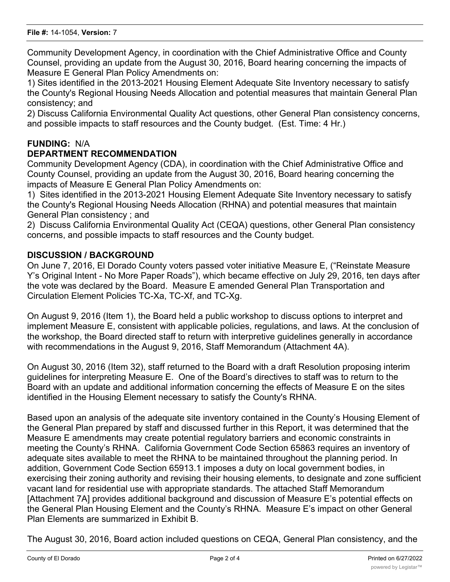Community Development Agency, in coordination with the Chief Administrative Office and County Counsel, providing an update from the August 30, 2016, Board hearing concerning the impacts of Measure E General Plan Policy Amendments on:

1) Sites identified in the 2013-2021 Housing Element Adequate Site Inventory necessary to satisfy the County's Regional Housing Needs Allocation and potential measures that maintain General Plan consistency; and

2) Discuss California Environmental Quality Act questions, other General Plan consistency concerns, and possible impacts to staff resources and the County budget. (Est. Time: 4 Hr.)

## **FUNDING:** N/A

## **DEPARTMENT RECOMMENDATION**

Community Development Agency (CDA), in coordination with the Chief Administrative Office and County Counsel, providing an update from the August 30, 2016, Board hearing concerning the impacts of Measure E General Plan Policy Amendments on:

1) Sites identified in the 2013-2021 Housing Element Adequate Site Inventory necessary to satisfy the County's Regional Housing Needs Allocation (RHNA) and potential measures that maintain General Plan consistency ; and

2) Discuss California Environmental Quality Act (CEQA) questions, other General Plan consistency concerns, and possible impacts to staff resources and the County budget.

## **DISCUSSION / BACKGROUND**

On June 7, 2016, El Dorado County voters passed voter initiative Measure E, ("Reinstate Measure Y's Original Intent - No More Paper Roads"), which became effective on July 29, 2016, ten days after the vote was declared by the Board. Measure E amended General Plan Transportation and Circulation Element Policies TC-Xa, TC-Xf, and TC-Xg.

On August 9, 2016 (Item 1), the Board held a public workshop to discuss options to interpret and implement Measure E, consistent with applicable policies, regulations, and laws. At the conclusion of the workshop, the Board directed staff to return with interpretive guidelines generally in accordance with recommendations in the August 9, 2016, Staff Memorandum (Attachment 4A).

On August 30, 2016 (Item 32), staff returned to the Board with a draft Resolution proposing interim guidelines for interpreting Measure E. One of the Board's directives to staff was to return to the Board with an update and additional information concerning the effects of Measure E on the sites identified in the Housing Element necessary to satisfy the County's RHNA.

Based upon an analysis of the adequate site inventory contained in the County's Housing Element of the General Plan prepared by staff and discussed further in this Report, it was determined that the Measure E amendments may create potential regulatory barriers and economic constraints in meeting the County's RHNA. California Government Code Section 65863 requires an inventory of adequate sites available to meet the RHNA to be maintained throughout the planning period. In addition, Government Code Section 65913.1 imposes a duty on local government bodies, in exercising their zoning authority and revising their housing elements, to designate and zone sufficient vacant land for residential use with appropriate standards. The attached Staff Memorandum [Attachment 7A] provides additional background and discussion of Measure E's potential effects on the General Plan Housing Element and the County's RHNA. Measure E's impact on other General Plan Elements are summarized in Exhibit B.

The August 30, 2016, Board action included questions on CEQA, General Plan consistency, and the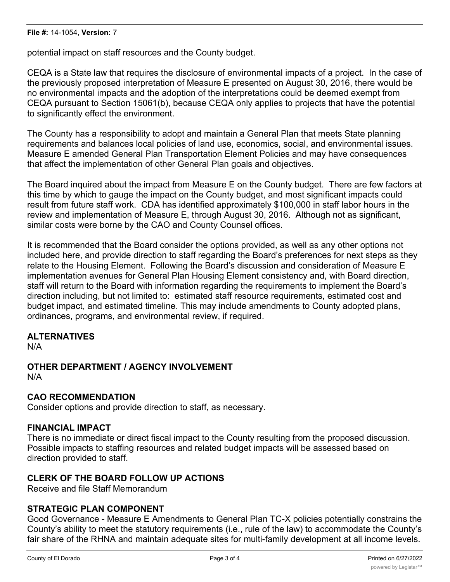potential impact on staff resources and the County budget.

CEQA is a State law that requires the disclosure of environmental impacts of a project. In the case of the previously proposed interpretation of Measure E presented on August 30, 2016, there would be no environmental impacts and the adoption of the interpretations could be deemed exempt from CEQA pursuant to Section 15061(b), because CEQA only applies to projects that have the potential to significantly effect the environment.

The County has a responsibility to adopt and maintain a General Plan that meets State planning requirements and balances local policies of land use, economics, social, and environmental issues. Measure E amended General Plan Transportation Element Policies and may have consequences that affect the implementation of other General Plan goals and objectives.

The Board inquired about the impact from Measure E on the County budget. There are few factors at this time by which to gauge the impact on the County budget, and most significant impacts could result from future staff work. CDA has identified approximately \$100,000 in staff labor hours in the review and implementation of Measure E, through August 30, 2016. Although not as significant, similar costs were borne by the CAO and County Counsel offices.

It is recommended that the Board consider the options provided, as well as any other options not included here, and provide direction to staff regarding the Board's preferences for next steps as they relate to the Housing Element. Following the Board's discussion and consideration of Measure E implementation avenues for General Plan Housing Element consistency and, with Board direction, staff will return to the Board with information regarding the requirements to implement the Board's direction including, but not limited to: estimated staff resource requirements, estimated cost and budget impact, and estimated timeline. This may include amendments to County adopted plans, ordinances, programs, and environmental review, if required.

## **ALTERNATIVES**

N/A

#### **OTHER DEPARTMENT / AGENCY INVOLVEMENT** N/A

## **CAO RECOMMENDATION**

Consider options and provide direction to staff, as necessary.

## **FINANCIAL IMPACT**

There is no immediate or direct fiscal impact to the County resulting from the proposed discussion. Possible impacts to staffing resources and related budget impacts will be assessed based on direction provided to staff.

## **CLERK OF THE BOARD FOLLOW UP ACTIONS**

Receive and file Staff Memorandum

## **STRATEGIC PLAN COMPONENT**

Good Governance - Measure E Amendments to General Plan TC-X policies potentially constrains the County's ability to meet the statutory requirements (i.e., rule of the law) to accommodate the County's fair share of the RHNA and maintain adequate sites for multi-family development at all income levels.